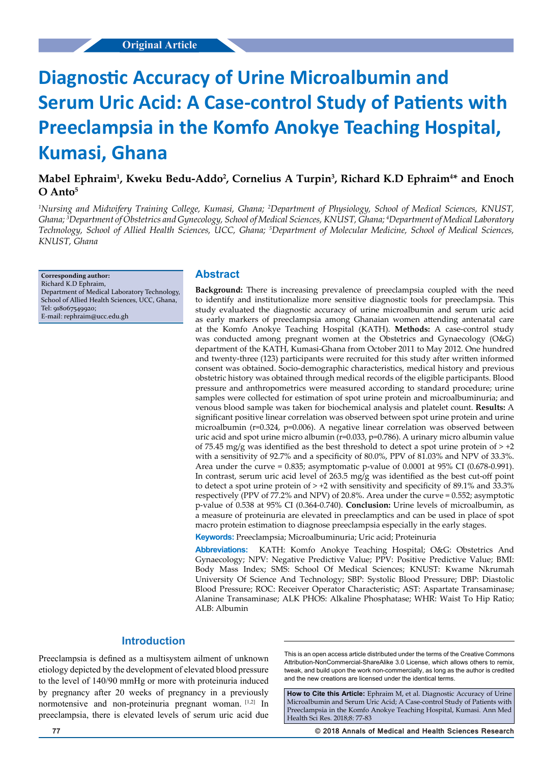# **Diagnostic Accuracy of Urine Microalbumin and Serum Uric Acid: A Case-control Study of Patients with Preeclampsia in the Komfo Anokye Teaching Hospital, Kumasi, Ghana**

# **Mabel Ephraim1 , Kweku Bedu-Addo2 , Cornelius A Turpin3 , Richard K.D Ephraim4 \* and Enoch O Anto5**

*1 Nursing and Midwifery Training College, Kumasi, Ghana; 2 Department of Physiology, School of Medical Sciences, KNUST, Ghana; 3 Department of Obstetrics and Gynecology, School of Medical Sciences, KNUST, Ghana; 4 Department of Medical Laboratory Technology, School of Allied Health Sciences, UCC, Ghana; 5 Department of Molecular Medicine, School of Medical Sciences, KNUST, Ghana*

**Corresponding author:** Richard K.D Ephraim, Department of Medical Laboratory Technology, School of Allied Health Sciences, UCC, Ghana, Tel: 918067549920; E-mail: rephraim@ucc.edu.gh

## **Abstract**

**Background:** There is increasing prevalence of preeclampsia coupled with the need to identify and institutionalize more sensitive diagnostic tools for preeclampsia. This study evaluated the diagnostic accuracy of urine microalbumin and serum uric acid as early markers of preeclampsia among Ghanaian women attending antenatal care at the Komfo Anokye Teaching Hospital (KATH). **Methods:** A case-control study was conducted among pregnant women at the Obstetrics and Gynaecology (O&G) department of the KATH, Kumasi-Ghana from October 2011 to May 2012. One hundred and twenty-three (123) participants were recruited for this study after written informed consent was obtained. Socio-demographic characteristics, medical history and previous obstetric history was obtained through medical records of the eligible participants. Blood pressure and anthropometrics were measured according to standard procedure; urine samples were collected for estimation of spot urine protein and microalbuminuria; and venous blood sample was taken for biochemical analysis and platelet count. **Results:** A significant positive linear correlation was observed between spot urine protein and urine microalbumin (r=0.324, p=0.006). A negative linear correlation was observed between uric acid and spot urine micro albumin (r=0.033, p=0.786). A urinary micro albumin value of 75.45 mg/g was identified as the best threshold to detect a spot urine protein of  $> +2$ with a sensitivity of 92.7% and a specificity of 80.0%, PPV of 81.03% and NPV of 33.3%. Area under the curve = 0.835; asymptomatic p-value of 0.0001 at 95% CI (0.678-0.991). In contrast, serum uric acid level of 263.5 mg/g was identified as the best cut-off point to detect a spot urine protein of  $> +2$  with sensitivity and specificity of 89.1% and 33.3% respectively (PPV of 77.2% and NPV) of 20.8%. Area under the curve = 0.552; asymptotic p-value of 0.538 at 95% CI (0.364-0.740). **Conclusion:** Urine levels of microalbumin, as a measure of proteinuria are elevated in preeclamptics and can be used in place of spot macro protein estimation to diagnose preeclampsia especially in the early stages.

**Keywords:** Preeclampsia; Microalbuminuria; Uric acid; Proteinuria

**Abbreviations:** KATH: Komfo Anokye Teaching Hospital; O&G: Obstetrics And Gynaecology; NPV: Negative Predictive Value; PPV: Positive Predictive Value; BMI: Body Mass Index; SMS: School Of Medical Sciences; KNUST: Kwame Nkrumah University Of Science And Technology; SBP: Systolic Blood Pressure; DBP: Diastolic Blood Pressure; ROC: Receiver Operator Characteristic; AST: Aspartate Transaminase; Alanine Transaminase; ALK PHOS: Alkaline Phosphatase; WHR: Waist To Hip Ratio; ALB: Albumin

# **Introduction**

Preeclampsia is defined as a multisystem ailment of unknown etiology depicted by the development of elevated blood pressure to the level of 140/90 mmHg or more with proteinuria induced by pregnancy after 20 weeks of pregnancy in a previously normotensive and non-proteinuria pregnant woman. [1,2] In preeclampsia, there is elevated levels of serum uric acid due

This is an open access article distributed under the terms of the Creative Commons Attribution‑NonCommercial‑ShareAlike 3.0 License, which allows others to remix, tweak, and build upon the work non‑commercially, as long as the author is credited and the new creations are licensed under the identical terms.

**How to Cite this Article:** Ephraim M, et al. Diagnostic Accuracy of Urine Microalbumin and Serum Uric Acid; A Case-control Study of Patients with Preeclampsia in the Komfo Anokye Teaching Hospital, Kumasi. Ann Med Health Sci Res. 2018;8: 77-83

**77 © 2018 Annals of Medical and Health Sciences Research**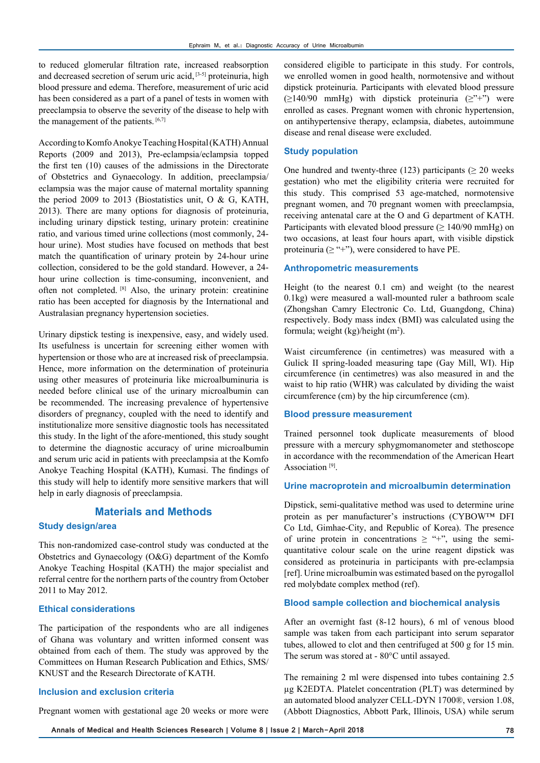to reduced glomerular filtration rate, increased reabsorption and decreased secretion of serum uric acid, [3-5] proteinuria, high blood pressure and edema. Therefore, measurement of uric acid has been considered as a part of a panel of tests in women with preeclampsia to observe the severity of the disease to help with the management of the patients. [6,7]

According to Komfo Anokye Teaching Hospital (KATH) Annual Reports (2009 and 2013), Pre-eclampsia/eclampsia topped the first ten (10) causes of the admissions in the Directorate of Obstetrics and Gynaecology. In addition, preeclampsia/ eclampsia was the major cause of maternal mortality spanning the period 2009 to 2013 (Biostatistics unit, O & G, KATH, 2013). There are many options for diagnosis of proteinuria, including urinary dipstick testing, urinary protein: creatinine ratio, and various timed urine collections (most commonly, 24 hour urine). Most studies have focused on methods that best match the quantification of urinary protein by 24-hour urine collection, considered to be the gold standard. However, a 24 hour urine collection is time-consuming, inconvenient, and often not completed. [8] Also, the urinary protein: creatinine ratio has been accepted for diagnosis by the International and Australasian pregnancy hypertension societies.

Urinary dipstick testing is inexpensive, easy, and widely used. Its usefulness is uncertain for screening either women with hypertension or those who are at increased risk of preeclampsia. Hence, more information on the determination of proteinuria using other measures of proteinuria like microalbuminuria is needed before clinical use of the urinary microalbumin can be recommended. The increasing prevalence of hypertensive disorders of pregnancy, coupled with the need to identify and institutionalize more sensitive diagnostic tools has necessitated this study. In the light of the afore-mentioned, this study sought to determine the diagnostic accuracy of urine microalbumin and serum uric acid in patients with preeclampsia at the Komfo Anokye Teaching Hospital (KATH), Kumasi. The findings of this study will help to identify more sensitive markers that will help in early diagnosis of preeclampsia.

## **Materials and Methods**

#### **Study design/area**

This non-randomized case-control study was conducted at the Obstetrics and Gynaecology (O&G) department of the Komfo Anokye Teaching Hospital (KATH) the major specialist and referral centre for the northern parts of the country from October 2011 to May 2012.

#### **Ethical considerations**

The participation of the respondents who are all indigenes of Ghana was voluntary and written informed consent was obtained from each of them. The study was approved by the Committees on Human Research Publication and Ethics, SMS/ KNUST and the Research Directorate of KATH.

#### **Inclusion and exclusion criteria**

Pregnant women with gestational age 20 weeks or more were

considered eligible to participate in this study. For controls, we enrolled women in good health, normotensive and without dipstick proteinuria. Participants with elevated blood pressure  $(\geq 140/90$  mmHg) with dipstick proteinuria  $(\geq 140/90$  were enrolled as cases. Pregnant women with chronic hypertension, on antihypertensive therapy, eclampsia, diabetes, autoimmune disease and renal disease were excluded.

#### **Study population**

One hundred and twenty-three (123) participants ( $\geq$  20 weeks gestation) who met the eligibility criteria were recruited for this study. This comprised 53 age-matched, normotensive pregnant women, and 70 pregnant women with preeclampsia, receiving antenatal care at the O and G department of KATH. Participants with elevated blood pressure ( $\geq 140/90$  mmHg) on two occasions, at least four hours apart, with visible dipstick proteinuria ( $\geq$  "+"), were considered to have PE.

#### **Anthropometric measurements**

Height (to the nearest 0.1 cm) and weight (to the nearest 0.1kg) were measured a wall-mounted ruler a bathroom scale (Zhongshan Camry Electronic Co. Ltd, Guangdong, China) respectively. Body mass index (BMI) was calculated using the formula; weight  $(kg)/height$  (m<sup>2</sup>).

Waist circumference (in centimetres) was measured with a Gulick II spring-loaded measuring tape (Gay Mill, WI). Hip circumference (in centimetres) was also measured in and the waist to hip ratio (WHR) was calculated by dividing the waist circumference (cm) by the hip circumference (cm).

#### **Blood pressure measurement**

Trained personnel took duplicate measurements of blood pressure with a mercury sphygmomanometer and stethoscope in accordance with the recommendation of the American Heart Association<sup>[9]</sup>.

#### **Urine macroprotein and microalbumin determination**

Dipstick, semi-qualitative method was used to determine urine protein as per manufacturer's instructions (CYBOW™ DFI Co Ltd, Gimhae-City, and Republic of Korea). The presence of urine protein in concentrations  $\geq$  "+", using the semiquantitative colour scale on the urine reagent dipstick was considered as proteinuria in participants with pre-eclampsia [ref]. Urine microalbumin was estimated based on the pyrogallol red molybdate complex method (ref).

#### **Blood sample collection and biochemical analysis**

After an overnight fast (8-12 hours), 6 ml of venous blood sample was taken from each participant into serum separator tubes, allowed to clot and then centrifuged at 500 g for 15 min. The serum was stored at - 80°C until assayed.

The remaining 2 ml were dispensed into tubes containing 2.5 µg K2EDTA. Platelet concentration (PLT) was determined by an automated blood analyzer CELL-DYN 1700®, version 1.08, (Abbott Diagnostics, Abbott Park, Illinois, USA) while serum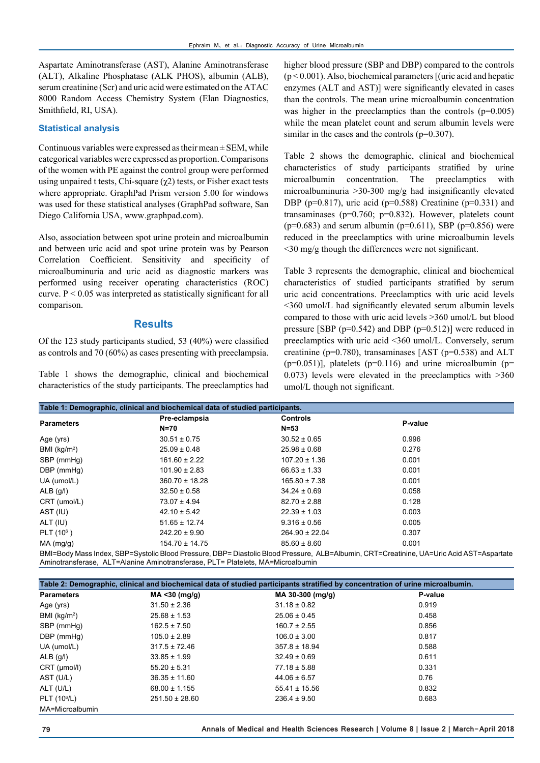Aspartate Aminotransferase (AST), Alanine Aminotransferase (ALT), Alkaline Phosphatase (ALK PHOS), albumin (ALB), serum creatinine (Scr) and uric acid were estimated on the ATAC 8000 Random Access Chemistry System (Elan Diagnostics, Smithfield, RI, USA).

#### **Statistical analysis**

Continuous variables were expressed as their mean  $\pm$  SEM, while categorical variables were expressed as proportion. Comparisons of the women with PE against the control group were performed using unpaired t tests, Chi-square  $(χ2)$  tests, or Fisher exact tests where appropriate. GraphPad Prism version 5.00 for windows was used for these statistical analyses (GraphPad software, San Diego California USA, [www.graphpad.com\)](http://www.graphpad.com).

Also, association between spot urine protein and microalbumin and between uric acid and spot urine protein was by Pearson Correlation Coefficient. Sensitivity and specificity of microalbuminuria and uric acid as diagnostic markers was performed using receiver operating characteristics (ROC) curve. P < 0.05 was interpreted as statistically significant for all comparison.

## **Results**

Of the 123 study participants studied, 53 (40%) were classified as controls and 70 (60%) as cases presenting with preeclampsia.

Table 1 shows the demographic, clinical and biochemical characteristics of the study participants. The preeclamptics had higher blood pressure (SBP and DBP) compared to the controls  $(p < 0.001)$ . Also, biochemical parameters  $($ uric acid and hepatic enzymes (ALT and AST)] were significantly elevated in cases than the controls. The mean urine microalbumin concentration was higher in the preeclamptics than the controls  $(p=0.005)$ while the mean platelet count and serum albumin levels were similar in the cases and the controls  $(p=0.307)$ .

Table 2 shows the demographic, clinical and biochemical characteristics of study participants stratified by urine microalbumin concentration. The preeclamptics with microalbuminuria >30-300 mg/g had insignificantly elevated DBP ( $p=0.817$ ), uric acid ( $p=0.588$ ) Creatinine ( $p=0.331$ ) and transaminases (p=0.760; p=0.832). However, platelets count ( $p=0.683$ ) and serum albumin ( $p=0.611$ ), SBP ( $p=0.856$ ) were reduced in the preeclamptics with urine microalbumin levels <30 mg/g though the differences were not significant.

Table 3 represents the demographic, clinical and biochemical characteristics of studied participants stratified by serum uric acid concentrations. Preeclamptics with uric acid levels <360 umol/L had significantly elevated serum albumin levels compared to those with uric acid levels >360 umol/L but blood pressure [SBP (p=0.542) and DBP (p=0.512)] were reduced in preeclamptics with uric acid <360 umol/L. Conversely, serum creatinine (p=0.780), transaminases [AST (p=0.538) and ALT  $(p=0.051)$ ], platelets  $(p=0.116)$  and urine microalbumin  $(p=0.051)$ ] 0.073) levels were elevated in the preeclamptics with >360 umol/L though not significant.

| Table 1: Demographic, clinical and biochemical data of studied participants. |                    |                    |         |
|------------------------------------------------------------------------------|--------------------|--------------------|---------|
| <b>Parameters</b>                                                            | Pre-eclampsia      | <b>Controls</b>    | P-value |
|                                                                              | $N=70$             | $N = 53$           |         |
| Age (yrs)                                                                    | $30.51 \pm 0.75$   | $30.52 \pm 0.65$   | 0.996   |
| BMI (kg/m <sup>2</sup> )                                                     | $25.09 \pm 0.48$   | $25.98 \pm 0.68$   | 0.276   |
| SBP (mmHg)                                                                   | $161.60 \pm 2.22$  | $107.20 \pm 1.36$  | 0.001   |
| DBP (mmHg)                                                                   | $101.90 \pm 2.83$  | $66.63 \pm 1.33$   | 0.001   |
| UA (umol/L)                                                                  | $360.70 \pm 18.28$ | $165.80 \pm 7.38$  | 0.001   |
| $ALB$ (g/l)                                                                  | $32.50 \pm 0.58$   | $34.24 \pm 0.69$   | 0.058   |
| CRT (umol/L)                                                                 | $73.07 \pm 4.94$   | $82.70 \pm 2.88$   | 0.128   |
| AST (IU)                                                                     | $42.10 \pm 5.42$   | $22.39 \pm 1.03$   | 0.003   |
| ALT (IU)                                                                     | $51.65 \pm 12.74$  | $9.316 \pm 0.56$   | 0.005   |
| PLT $(10^6)$                                                                 | $242.20 \pm 9.90$  | $264.90 \pm 22.04$ | 0.307   |
| MA (mg/g)                                                                    | 154.70 ± 14.75     | $85.60 \pm 8.60$   | 0.001   |

BMI=Body Mass Index, SBP=Systolic Blood Pressure, DBP= Diastolic Blood Pressure, ALB=Albumin, CRT=Creatinine, UA=Uric Acid AST=Aspartate Aminotransferase, ALT=Alanine Aminotransferase, PLT= Platelets, MA=Microalbumin

| Table 2: Demographic, clinical and biochemical data of studied participants stratified by concentration of urine microalbumin. |                    |                   |         |
|--------------------------------------------------------------------------------------------------------------------------------|--------------------|-------------------|---------|
| <b>Parameters</b>                                                                                                              | MA < 30 (mg/g)     | MA 30-300 (mg/g)  | P-value |
| Age (yrs)                                                                                                                      | $31.50 \pm 2.36$   | $31.18 \pm 0.82$  | 0.919   |
| BMI ( $kg/m2$ )                                                                                                                | $25.68 \pm 1.53$   | $25.06 \pm 0.45$  | 0.458   |
| SBP (mmHq)                                                                                                                     | $162.5 \pm 7.50$   | $160.7 \pm 2.55$  | 0.856   |
| DBP (mmHq)                                                                                                                     | $105.0 \pm 2.89$   | $106.0 \pm 3.00$  | 0.817   |
| UA (umol/L)                                                                                                                    | $317.5 \pm 72.46$  | $357.8 \pm 18.94$ | 0.588   |
| $ALB$ (g/l)                                                                                                                    | $33.85 \pm 1.99$   | $32.49 \pm 0.69$  | 0.611   |
| CRT (µmol/l)                                                                                                                   | $55.20 \pm 5.31$   | $77.18 \pm 5.88$  | 0.331   |
| AST (U/L)                                                                                                                      | $36.35 \pm 11.60$  | $44.06 \pm 6.57$  | 0.76    |
| ALT (U/L)                                                                                                                      | $68.00 \pm 1.155$  | $55.41 \pm 15.56$ | 0.832   |
| PLT (10 <sup>6</sup> /L)                                                                                                       | $251.50 \pm 28.60$ | $236.4 \pm 9.50$  | 0.683   |
| MA=Microalbumin                                                                                                                |                    |                   |         |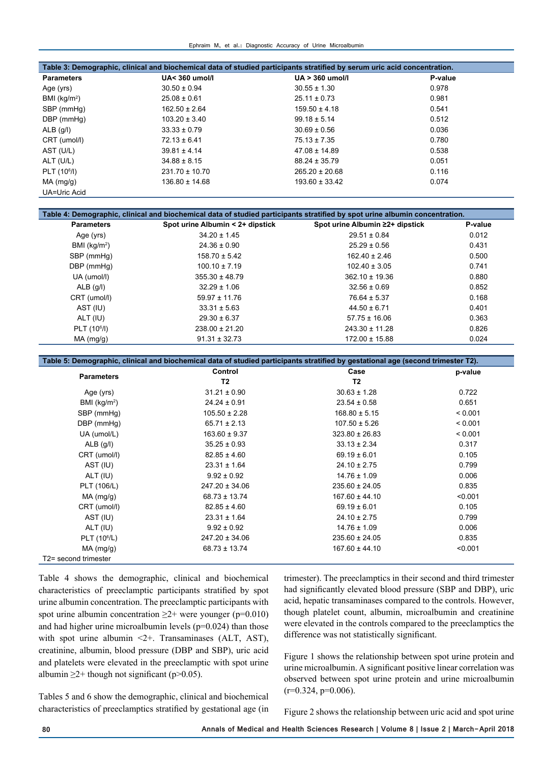| Table 3: Demographic, clinical and biochemical data of studied participants stratified by serum uric acid concentration. |                          |                    |         |
|--------------------------------------------------------------------------------------------------------------------------|--------------------------|--------------------|---------|
| <b>Parameters</b>                                                                                                        | <b>UA&lt; 360 umol/l</b> | $UA > 360$ umol/l  | P-value |
| Age (yrs)                                                                                                                | $30.50 \pm 0.94$         | $30.55 \pm 1.30$   | 0.978   |
| BMI ( $kg/m2$ )                                                                                                          | $25.08 \pm 0.61$         | $25.11 \pm 0.73$   | 0.981   |
| SBP (mmHq)                                                                                                               | $162.50 \pm 2.64$        | $159.50 \pm 4.18$  | 0.541   |
| DBP (mmHq)                                                                                                               | $103.20 \pm 3.40$        | $99.18 \pm 5.14$   | 0.512   |
| $ALB$ (g/l)                                                                                                              | $33.33 \pm 0.79$         | $30.69 \pm 0.56$   | 0.036   |
| CRT (umol/l)                                                                                                             | $72.13 \pm 6.41$         | $75.13 \pm 7.35$   | 0.780   |
| AST (U/L)                                                                                                                | $39.81 \pm 4.14$         | $47.08 \pm 14.89$  | 0.538   |
| ALT (U/L)                                                                                                                | $34.88 \pm 8.15$         | $88.24 \pm 35.79$  | 0.051   |
| PLT (10 <sup>6</sup> /I)                                                                                                 | $231.70 \pm 10.70$       | $265.20 \pm 20.68$ | 0.116   |
| MA (mg/g)                                                                                                                | $136.80 \pm 14.68$       | $193.60 \pm 33.42$ | 0.074   |
| UA=Uric Acid                                                                                                             |                          |                    |         |

| Table 4: Demographic, clinical and biochemical data of studied participants stratified by spot urine albumin concentration. |                                  |                                 |         |
|-----------------------------------------------------------------------------------------------------------------------------|----------------------------------|---------------------------------|---------|
| <b>Parameters</b>                                                                                                           | Spot urine Albumin < 2+ dipstick | Spot urine Albumin ≥2+ dipstick | P-value |
| Age (yrs)                                                                                                                   | $34.20 \pm 1.45$                 | $29.51 \pm 0.84$                | 0.012   |
| BMI ( $kq/m^2$ )                                                                                                            | $24.36 \pm 0.90$                 | $25.29 \pm 0.56$                | 0.431   |
| SBP (mmHg)                                                                                                                  | $158.70 \pm 5.42$                | $162.40 \pm 2.46$               | 0.500   |
| DBP (mmHg)                                                                                                                  | $100.10 \pm 7.19$                | $102.40 \pm 3.05$               | 0.741   |
| UA (umol/l)                                                                                                                 | $355.30 \pm 48.79$               | $362.10 \pm 19.36$              | 0.880   |
| $ALB$ (g/l)                                                                                                                 | $32.29 \pm 1.06$                 | $32.56 \pm 0.69$                | 0.852   |
| CRT (umol/l)                                                                                                                | $59.97 \pm 11.76$                | $76.64 \pm 5.37$                | 0.168   |
| AST (IU)                                                                                                                    | $33.31 \pm 5.63$                 | $44.50 \pm 6.71$                | 0.401   |
| ALT (IU)                                                                                                                    | $29.30 \pm 6.37$                 | $57.75 \pm 16.06$               | 0.363   |
| PLT (10 <sup>6</sup> /l)                                                                                                    | $238.00 \pm 21.20$               | $243.30 \pm 11.28$              | 0.826   |
| MA (mg/g)                                                                                                                   | $91.31 \pm 32.73$                | $172.00 \pm 15.88$              | 0.024   |

| Table 5: Demographic, clinical and biochemical data of studied participants stratified by gestational age (second trimester T2). |                    |                    |         |  |
|----------------------------------------------------------------------------------------------------------------------------------|--------------------|--------------------|---------|--|
| <b>Parameters</b>                                                                                                                | Control            | Case               | p-value |  |
|                                                                                                                                  | T <sub>2</sub>     | T <sub>2</sub>     |         |  |
| Age (yrs)                                                                                                                        | $31.21 \pm 0.90$   | $30.63 \pm 1.28$   | 0.722   |  |
| BMI ( $kg/m2$ )                                                                                                                  | $24.24 \pm 0.91$   | $23.54 \pm 0.58$   | 0.651   |  |
| SBP (mmHq)                                                                                                                       | $105.50 \pm 2.28$  | $168.80 \pm 5.15$  | < 0.001 |  |
| DBP (mmHg)                                                                                                                       | $65.71 \pm 2.13$   | $107.50 \pm 5.26$  | < 0.001 |  |
| UA (umol/L)                                                                                                                      | $163.60 \pm 9.37$  | $323.80 \pm 26.83$ | < 0.001 |  |
| $ALB$ (g/l)                                                                                                                      | $35.25 \pm 0.93$   | $33.13 \pm 2.34$   | 0.317   |  |
| CRT (umol/l)                                                                                                                     | $82.85 \pm 4.60$   | $69.19 \pm 6.01$   | 0.105   |  |
| AST (IU)                                                                                                                         | $23.31 \pm 1.64$   | $24.10 \pm 2.75$   | 0.799   |  |
| ALT (IU)                                                                                                                         | $9.92 \pm 0.92$    | $14.76 \pm 1.09$   | 0.006   |  |
| PLT (106/L)                                                                                                                      | $247.20 \pm 34.06$ | $235.60 \pm 24.05$ | 0.835   |  |
| $MA$ (mg/g)                                                                                                                      | $68.73 \pm 13.74$  | $167.60 \pm 44.10$ | < 0.001 |  |
| CRT (umol/l)                                                                                                                     | $82.85 \pm 4.60$   | $69.19 \pm 6.01$   | 0.105   |  |
| AST (IU)                                                                                                                         | $23.31 \pm 1.64$   | $24.10 \pm 2.75$   | 0.799   |  |
| ALT (IU)                                                                                                                         | $9.92 \pm 0.92$    | $14.76 \pm 1.09$   | 0.006   |  |
| PLT (10 <sup>6</sup> /L)                                                                                                         | $247.20 \pm 34.06$ | $235.60 \pm 24.05$ | 0.835   |  |
| $MA$ (mg/g)                                                                                                                      | $68.73 \pm 13.74$  | $167.60 \pm 44.10$ | < 0.001 |  |
| T2= second trimester                                                                                                             |                    |                    |         |  |

Table 4 shows the demographic, clinical and biochemical characteristics of preeclamptic participants stratified by spot urine albumin concentration. The preeclamptic participants with spot urine albumin concentration  $\geq 2+$  were younger (p=0.010) and had higher urine microalbumin levels (p=0.024) than those with spot urine albumin <2+. Transaminases (ALT, AST), creatinine, albumin, blood pressure (DBP and SBP), uric acid and platelets were elevated in the preeclamptic with spot urine albumin  $\geq$ 2+ though not significant (p>0.05).

Tables 5 and 6 show the demographic, clinical and biochemical characteristics of preeclamptics stratified by gestational age (in trimester). The preeclamptics in their second and third trimester had significantly elevated blood pressure (SBP and DBP), uric acid, hepatic transaminases compared to the controls. However, though platelet count, albumin, microalbumin and creatinine were elevated in the controls compared to the preeclamptics the difference was not statistically significant.

Figure 1 shows the relationship between spot urine protein and urine microalbumin. A significant positive linear correlation was observed between spot urine protein and urine microalbumin  $(r=0.324, p=0.006)$ .

Figure 2 shows the relationship between uric acid and spot urine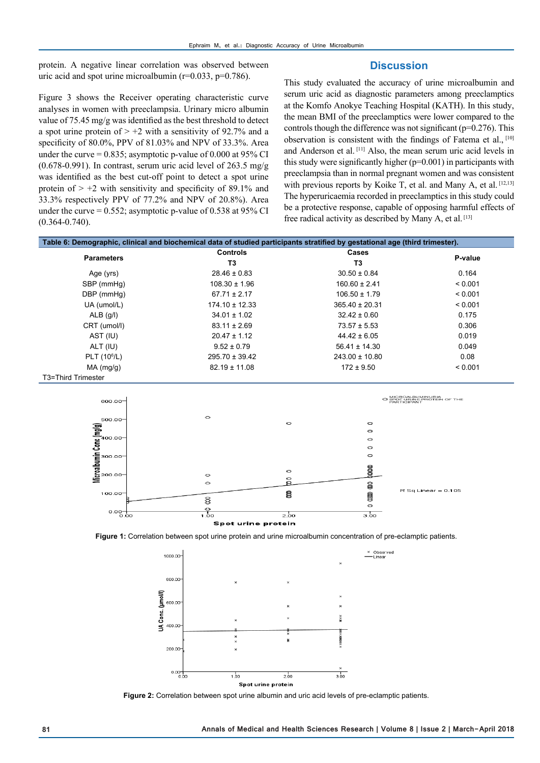protein. A negative linear correlation was observed between uric acid and spot urine microalbumin  $(r=0.033, p=0.786)$ .

## **Discussion**

Figure 3 shows the Receiver operating characteristic curve analyses in women with preeclampsia. Urinary micro albumin value of 75.45 mg/g was identified as the best threshold to detect a spot urine protein of  $> +2$  with a sensitivity of 92.7% and a specificity of 80.0%, PPV of 81.03% and NPV of 33.3%. Area under the curve  $= 0.835$ ; asymptotic p-value of 0.000 at 95% CI (0.678-0.991). In contrast, serum uric acid level of 263.5 mg/g was identified as the best cut-off point to detect a spot urine protein of  $> +2$  with sensitivity and specificity of 89.1% and 33.3% respectively PPV of 77.2% and NPV of 20.8%). Area under the curve  $= 0.552$ ; asymptotic p-value of 0.538 at 95% CI (0.364-0.740).

This study evaluated the accuracy of urine microalbumin and serum uric acid as diagnostic parameters among preeclamptics at the Komfo Anokye Teaching Hospital (KATH). In this study, the mean BMI of the preeclamptics were lower compared to the controls though the difference was not significant (p=0.276). This observation is consistent with the findings of Fatema et al., [10] and Anderson et al. [11] Also, the mean serum uric acid levels in this study were significantly higher (p=0.001) in participants with preeclampsia than in normal pregnant women and was consistent with previous reports by Koike T, et al. and Many A, et al. [12,13] The hyperuricaemia recorded in preeclamptics in this study could be a protective response, capable of opposing harmful effects of free radical activity as described by Many A, et al. [13]

| Table 6: Demographic, clinical and biochemical data of studied participants stratified by gestational age (third trimester). |                    |                    |         |
|------------------------------------------------------------------------------------------------------------------------------|--------------------|--------------------|---------|
| <b>Parameters</b>                                                                                                            | <b>Controls</b>    | Cases              | P-value |
|                                                                                                                              | T3                 | T3                 |         |
| Age (yrs)                                                                                                                    | $28.46 \pm 0.83$   | $30.50 \pm 0.84$   | 0.164   |
| SBP (mmHq)                                                                                                                   | $108.30 \pm 1.96$  | $160.60 \pm 2.41$  | < 0.001 |
| DBP (mmHg)                                                                                                                   | $67.71 \pm 2.17$   | $106.50 \pm 1.79$  | < 0.001 |
| UA (umol/L)                                                                                                                  | $174.10 \pm 12.33$ | $365.40 \pm 20.31$ | < 0.001 |
| $ALB$ (g/l)                                                                                                                  | $34.01 \pm 1.02$   | $32.42 \pm 0.60$   | 0.175   |
| CRT (umol/l)                                                                                                                 | $83.11 \pm 2.69$   | $73.57 \pm 5.53$   | 0.306   |
| AST (IU)                                                                                                                     | $20.47 \pm 1.12$   | $44.42 \pm 6.05$   | 0.019   |
| ALT (IU)                                                                                                                     | $9.52 \pm 0.79$    | $56.41 \pm 14.30$  | 0.049   |
| PLT (10 <sup>6</sup> /L)                                                                                                     | $295.70 \pm 39.42$ | $243.00 \pm 10.80$ | 0.08    |
| MA (mg/g)                                                                                                                    | $82.19 \pm 11.08$  | $172 \pm 9.50$     | < 0.001 |
| T3=Third Trimester                                                                                                           |                    |                    |         |







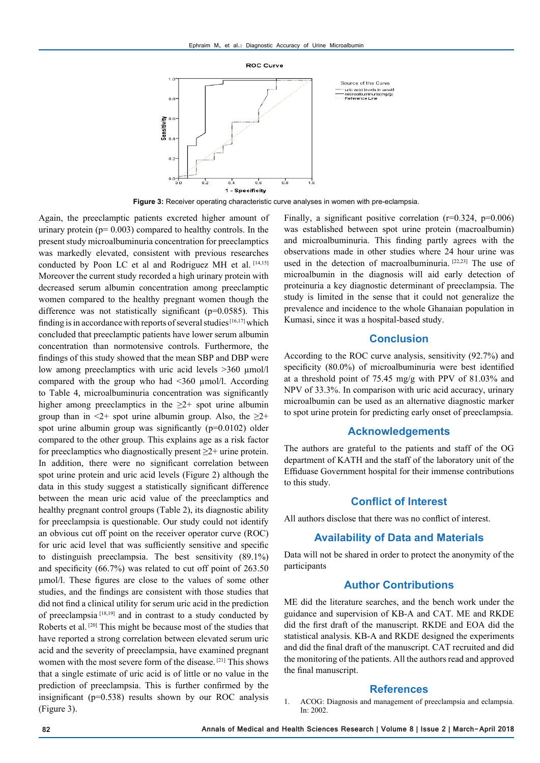

**Figure 3:** Receiver operating characteristic curve analyses in women with pre-eclampsia.

Again, the preeclamptic patients excreted higher amount of urinary protein ( $p= 0.003$ ) compared to healthy controls. In the present study microalbuminuria concentration for preeclamptics was markedly elevated, consistent with previous researches conducted by Poon LC et al and Rodriguez MH et al. [14,15] Moreover the current study recorded a high urinary protein with decreased serum albumin concentration among preeclamptic women compared to the healthy pregnant women though the difference was not statistically significant (p=0.0585). This finding is in accordance with reports of several studies  $[16,17]$  which concluded that preeclamptic patients have lower serum albumin concentration than normotensive controls. Furthermore, the findings of this study showed that the mean SBP and DBP were low among preeclamptics with uric acid levels >360 μmol/l compared with the group who had <360 µmol/l. According to Table 4, microalbuminuria concentration was significantly higher among preeclamptics in the  $\geq 2$ + spot urine albumin group than in  $\leq 2$ + spot urine albumin group. Also, the  $\geq 2$ + spot urine albumin group was significantly (p=0.0102) older compared to the other group. This explains age as a risk factor for preeclamptics who diagnostically present  $\geq 2+$  urine protein. In addition, there were no significant correlation between spot urine protein and uric acid levels (Figure 2) although the data in this study suggest a statistically significant difference between the mean uric acid value of the preeclamptics and healthy pregnant control groups (Table 2), its diagnostic ability for preeclampsia is questionable. Our study could not identify an obvious cut off point on the receiver operator curve (ROC) for uric acid level that was sufficiently sensitive and specific to distinguish preeclampsia. The best sensitivity (89.1%) and specificity (66.7%) was related to cut off point of 263.50 µmol/l. These figures are close to the values of some other studies, and the findings are consistent with those studies that did not find a clinical utility for serum uric acid in the prediction of preeclampsia [18,19] and in contrast to a study conducted by Roberts et al. [20] This might be because most of the studies that have reported a strong correlation between elevated serum uric acid and the severity of preeclampsia, have examined pregnant women with the most severe form of the disease. [21] This shows that a single estimate of uric acid is of little or no value in the prediction of preeclampsia. This is further confirmed by the insignificant (p=0.538) results shown by our ROC analysis (Figure 3).

Finally, a significant positive correlation (r=0.324, p=0.006) was established between spot urine protein (macroalbumin) and microalbuminuria. This finding partly agrees with the observations made in other studies where 24 hour urine was used in the detection of macroalbuminuria. [22,23] The use of microalbumin in the diagnosis will aid early detection of proteinuria a key diagnostic determinant of preeclampsia. The study is limited in the sense that it could not generalize the prevalence and incidence to the whole Ghanaian population in Kumasi, since it was a hospital-based study.

#### **Conclusion**

According to the ROC curve analysis, sensitivity (92.7%) and specificity (80.0%) of microalbuminuria were best identified at a threshold point of 75.45 mg/g with PPV of 81.03% and NPV of 33.3%. In comparison with uric acid accuracy, urinary microalbumin can be used as an alternative diagnostic marker to spot urine protein for predicting early onset of preeclampsia.

### **Acknowledgements**

The authors are grateful to the patients and staff of the OG department of KATH and the staff of the laboratory unit of the Effiduase Government hospital for their immense contributions to this study.

## **Conflict of Interest**

All authors disclose that there was no conflict of interest.

## **Availability of Data and Materials**

Data will not be shared in order to protect the anonymity of the participants

## **Author Contributions**

ME did the literature searches, and the bench work under the guidance and supervision of KB-A and CAT. ME and RKDE did the first draft of the manuscript. RKDE and EOA did the statistical analysis. KB-A and RKDE designed the experiments and did the final draft of the manuscript. CAT recruited and did the monitoring of the patients. All the authors read and approved the final manuscript.

#### **References**

1. ACOG: Diagnosis and management of preeclampsia and eclampsia. In: 2002.